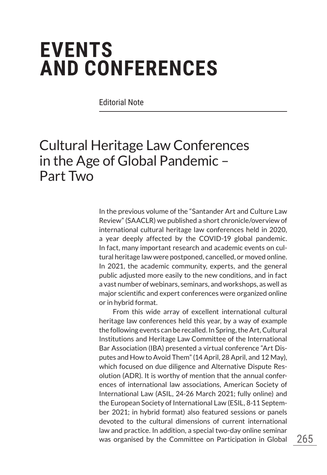## **EVENTS AND CONFERENCES**

Editorial Note

## Cultural Heritage Law Conferences in the Age of Global Pandemic – Part Two

In the previous volume of the "Santander Art and Culture Law Review" (SAACLR) we published a short chronicle/overview of international cultural heritage law conferences held in 2020, a year deeply affected by the COVID-19 global pandemic. In fact, many important research and academic events on cultural heritage law were postponed, cancelled, or moved online. In 2021, the academic community, experts, and the general public adjusted more easily to the new conditions, and in fact a vast number of webinars, seminars, and workshops, as well as major scientific and expert conferences were organized online or in hybrid format.

From this wide array of excellent international cultural heritage law conferences held this year, by a way of example the following events can be recalled. In Spring, the Art, Cultural Institutions and Heritage Law Committee of the International Bar Association (IBA) presented a virtual conference "Art Disputes and How to Avoid Them" (14 April, 28 April, and 12 May), which focused on due diligence and Alternative Dispute Resolution (ADR). It is worthy of mention that the annual conferences of international law associations, American Society of International Law (ASIL, 24-26 March 2021; fully online) and the European Society of International Law (ESIL, 8-11 September 2021; in hybrid format) also featured sessions or panels devoted to the cultural dimensions of current international law and practice. In addition, a special two-day online seminar was organised by the Committee on Participation in Global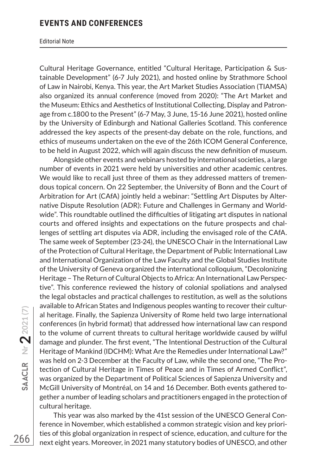## **EVENTS AND CONFERENCES**

## Editorial Note

Cultural Heritage Governance, entitled "Cultural Heritage, Participation & Sustainable Development" (6-7 July 2021), and hosted online by Strathmore School of Law in Nairobi, Kenya. This year, the Art Market Studies Association (TIAMSA) also organized its annual conference (moved from 2020): "The Art Market and the Museum: Ethics and Aesthetics of Institutional Collecting, Display and Patronage from c.1800 to the Present" (6-7 May, 3 June, 15-16 June 2021), hosted online by the University of Edinburgh and National Galleries Scotland. This conference addressed the key aspects of the present-day debate on the role, functions, and ethics of museums undertaken on the eve of the 26th ICOM General Conference, to be held in August 2022, which will again discuss the new definition of museum.

Alongside other events and webinars hosted by international societies, a large number of events in 2021 were held by universities and other academic centres. We would like to recall just three of them as they addressed matters of tremendous topical concern. On 22 September, the University of Bonn and the Court of Arbitration for Art (CAfA) jointly held a webinar: "Settling Art Disputes by Alternative Dispute Resolution (ADR): Future and Challenges in Germany and Worldwide". This roundtable outlined the difficulties of litigating art disputes in national courts and offered insights and expectations on the future prospects and challenges of settling art disputes via ADR, including the envisaged role of the CAfA. The same week of September (23-24), the UNESCO Chair in the International Law of the Protection of Cultural Heritage, the Department of Public International Law and International Organization of the Law Faculty and the Global Studies Institute of the University of Geneva organized the international colloquium, "Decolonizing Heritage – The Return of Cultural Objects to Africa: An International Law Perspective". This conference reviewed the history of colonial spoliations and analysed the legal obstacles and practical challenges to restitution, as well as the solutions available to African States and Indigenous peoples wanting to recover their cultural heritage. Finally, the Sapienza University of Rome held two large international conferences (in hybrid format) that addressed how international law can respond to the volume of current threats to cultural heritage worldwide caused by wilful damage and plunder. The first event, "The Intentional Destruction of the Cultural Heritage of Mankind (IDCHM): What Are the Remedies under International Law?" was held on 2-3 December at the Faculty of Law, while the second one, "The Protection of Cultural Heritage in Times of Peace and in Times of Armed Conflict", was organized by the Department of Political Sciences of Sapienza University and McGill University of Montréal, on 14 and 16 December. Both events gathered together a number of leading scholars and practitioners engaged in the protection of cultural heritage.

This year was also marked by the 41st session of the UNESCO General Conference in November, which established a common strategic vision and key priorities of this global organization in respect of science, education, and culture for the next eight years. Moreover, in 2021 many statutory bodies of UNESCO, and other

266